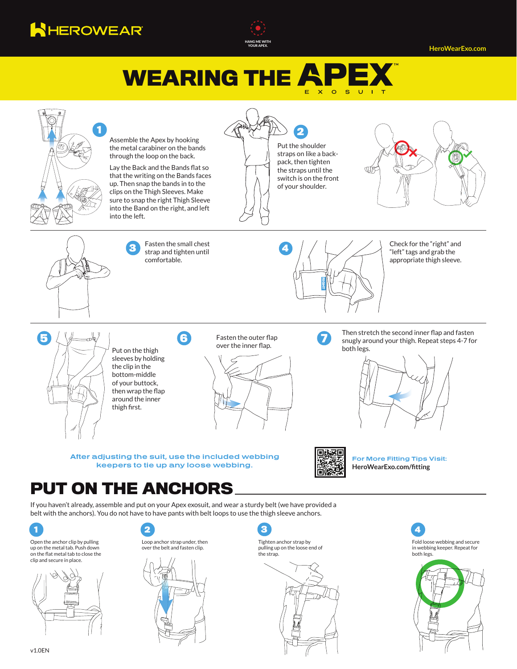



**HeroWearExo.com**

## **WEARING THE**  $E X$   $Q S$  U



**After adjusting the suit, use the included webbing keepers to tie up any loose webbing.**



**For More Fitting Tips Visit: HeroWearExo.com/fitting**

## **PUT ON THE ANCHORS**

If you haven't already, assemble and put on your Apex exosuit, and wear a sturdy belt (we have provided a belt with the anchors). You do not have to have pants with belt loops to use the thigh sleeve anchors.



Open the anchor clip by pulling up on the metal tab. Push down on the flat metal tab to close the clip and secure in place.







Tighten anchor strap by pulling up on the loose end of the strap. **2 4 3**